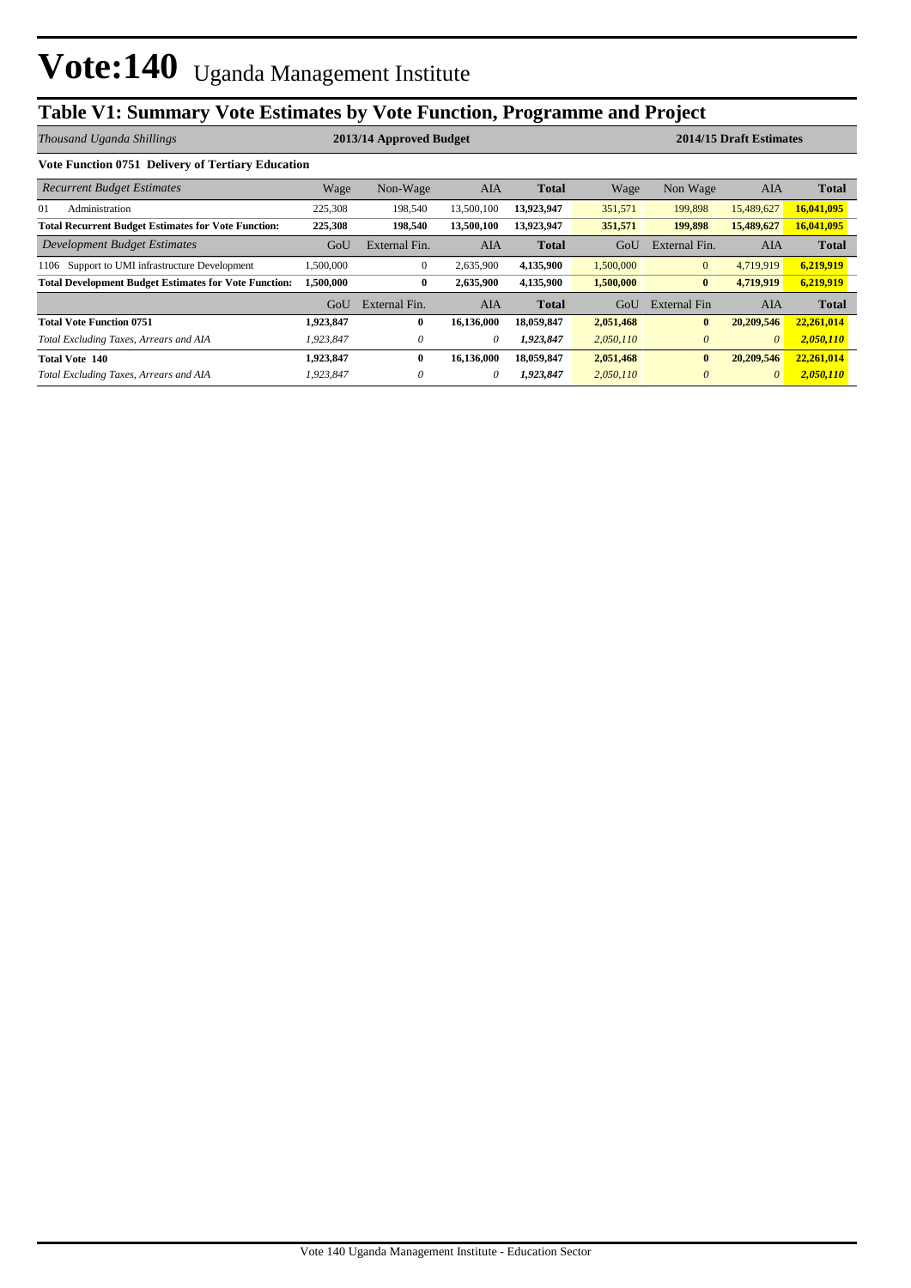## **Table V1: Summary Vote Estimates by Vote Function, Programme and Project**

| Thousand Uganda Shillings                                    |           | 2014/15 Draft Estimates<br>2013/14 Approved Budget |            |              |           |                |            |              |
|--------------------------------------------------------------|-----------|----------------------------------------------------|------------|--------------|-----------|----------------|------------|--------------|
| <b>Vote Function 0751 Delivery of Tertiary Education</b>     |           |                                                    |            |              |           |                |            |              |
| <b>Recurrent Budget Estimates</b>                            | Wage      | Non-Wage                                           | AIA        | <b>Total</b> | Wage      | Non Wage       | AIA        | <b>Total</b> |
| 01<br>Administration                                         | 225,308   | 198,540                                            | 13,500,100 | 13,923,947   | 351,571   | 199,898        | 15,489,627 | 16,041,095   |
| <b>Total Recurrent Budget Estimates for Vote Function:</b>   | 225,308   | 198,540                                            | 13,500,100 | 13,923,947   | 351,571   | 199,898        | 15,489,627 | 16,041,095   |
| Development Budget Estimates                                 | GoU       | External Fin.                                      | <b>AIA</b> | <b>Total</b> | GoU       | External Fin.  | <b>AIA</b> | <b>Total</b> |
| 1106 Support to UMI infrastructure Development               | 1,500,000 | $\mathbf{0}$                                       | 2,635,900  | 4,135,900    | 1,500,000 | $\overline{0}$ | 4,719,919  | 6,219,919    |
| <b>Total Development Budget Estimates for Vote Function:</b> | 1,500,000 | $\bf{0}$                                           | 2,635,900  | 4,135,900    | 1,500,000 | $\bf{0}$       | 4,719,919  | 6,219,919    |
|                                                              | GoU       | External Fin.                                      | AIA        | <b>Total</b> | GoU       | External Fin   | AIA        | <b>Total</b> |
| <b>Total Vote Function 0751</b>                              | 1,923,847 | $\mathbf{0}$                                       | 16,136,000 | 18,059,847   | 2,051,468 | $\bf{0}$       | 20,209,546 | 22,261,014   |
| Total Excluding Taxes, Arrears and AIA                       | 1,923,847 | 0                                                  | 0          | 1,923,847    | 2,050,110 | $\theta$       | $\theta$   | 2,050,110    |
| <b>Total Vote 140</b>                                        | 1,923,847 | $\bf{0}$                                           | 16,136,000 | 18,059,847   | 2,051,468 | $\bf{0}$       | 20,209,546 | 22,261,014   |
| Total Excluding Taxes, Arrears and AIA                       | 1,923,847 | $\theta$                                           | 0          | 1,923,847    | 2,050,110 | $\theta$       | $\theta$   | 2,050,110    |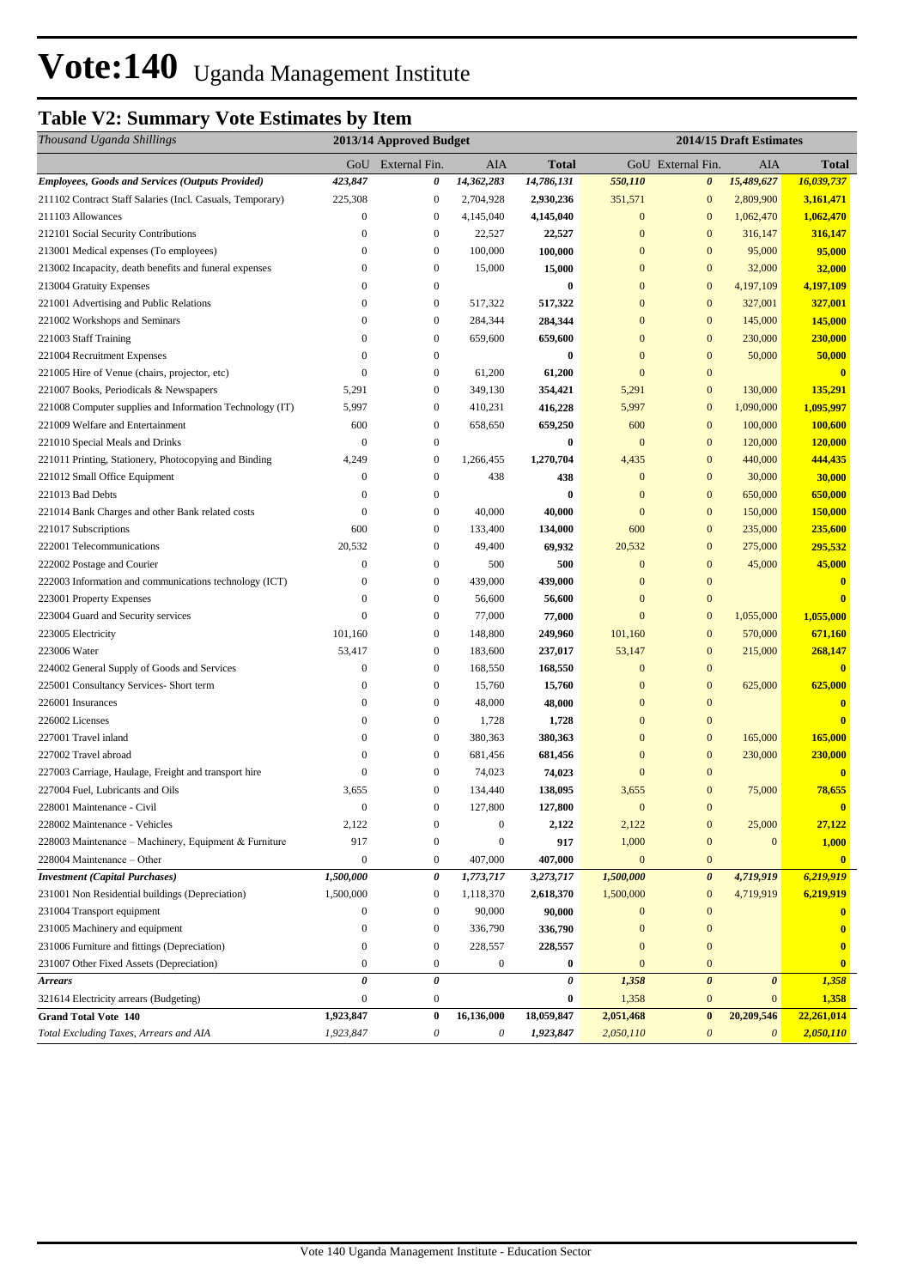# Vote:140 Uganda Management Institute

## **Table V2: Summary Vote Estimates by Item**

| GoU External Fin.<br>AIA<br>GoU External Fin.<br>AIA<br>Total<br>Total<br>423,847<br>14,362,283<br>14,786,131<br>550,110<br>15,489,627<br>16,039,737<br>0<br>0<br>225,308<br>$\boldsymbol{0}$<br>2,704,928<br>2,930,236<br>351,571<br>$\boldsymbol{0}$<br>2,809,900<br>3,161,471<br>$\boldsymbol{0}$<br>$\mathbf{0}$<br>1,062,470<br>$\boldsymbol{0}$<br>4,145,040<br>4,145,040<br>$\boldsymbol{0}$<br>1,062,470<br>$\mathbf{0}$<br>$\boldsymbol{0}$<br>$\mathbf{0}$<br>$\mathbf{0}$<br>316,147<br>22,527<br>22,527<br>316,147<br>$\boldsymbol{0}$<br>100,000<br>100,000<br>$\mathbf{0}$<br>$\overline{0}$<br>95,000<br>95,000<br>$\mathbf{0}$<br>$\mathbf{0}$<br>$\boldsymbol{0}$<br>$\mathbf{0}$<br>$\boldsymbol{0}$<br>32,000<br>15,000<br>15,000<br>32,000<br>$\boldsymbol{0}$<br>$\mathbf{0}$<br>$\boldsymbol{0}$<br>4,197,109<br>$\mathbf{0}$<br>$\bf{0}$<br>4,197,109<br>$\mathbf{0}$<br>$\boldsymbol{0}$<br>517,322<br>517,322<br>$\mathbf{0}$<br>$\boldsymbol{0}$<br>327,001<br>327,001<br>$\mathbf{0}$<br>284,344<br>284,344<br>$\mathbf{0}$<br>145,000<br>145,000<br>$\boldsymbol{0}$<br>$\boldsymbol{0}$<br>$\boldsymbol{0}$<br>659,600<br>659,600<br>$\mathbf{0}$<br>$\boldsymbol{0}$<br>230,000<br>230,000<br>0<br>$\mathbf{0}$<br>$\mathbf{0}$<br>$\boldsymbol{0}$<br>50,000<br>0<br>50,000<br>$\bf{0}$<br>$\mathbf{0}$<br>$\boldsymbol{0}$<br>61,200<br>$\mathbf{0}$<br>$\boldsymbol{0}$<br>61,200<br>$\mathbf{0}$<br>$\boldsymbol{0}$<br>135,291<br>5,291<br>$\boldsymbol{0}$<br>349,130<br>354,421<br>5,291<br>130,000<br>5,997<br>$\boldsymbol{0}$<br>410,231<br>5,997<br>$\mathbf{0}$<br>1,090,000<br>1,095,997<br>416,228<br>600<br>$\boldsymbol{0}$<br>659,250<br>600<br>$\mathbf{0}$<br>100,000<br>100,600<br>658,650<br>$\overline{0}$<br>$\boldsymbol{0}$<br>$\bf{0}$<br>$\mathbf{0}$<br>$\mathbf{0}$<br>120,000<br>120,000<br>$\boldsymbol{0}$<br>440,000<br>4,249<br>1,266,455<br>1,270,704<br>4,435<br>$\boldsymbol{0}$<br>444,435<br>$\mathbf{0}$<br>$\mathbf{0}$<br>$\boldsymbol{0}$<br>438<br>$\boldsymbol{0}$<br>30,000<br>438<br>30,000<br>$\mathbf{0}$<br>650,000<br>650,000<br>$\boldsymbol{0}$<br>0<br>$\bf{0}$<br>$\mathbf{0}$<br>$\mathbf{0}$<br>$\mathbf{0}$<br>$\mathbf{0}$<br>150,000<br>$\boldsymbol{0}$<br>40,000<br>40,000<br>150,000<br>600<br>$\boldsymbol{0}$<br>$\mathbf{0}$<br>133,400<br>600<br>235,000<br>235,600<br>134,000<br>295,532<br>20,532<br>$\boldsymbol{0}$<br>49,400<br>69,932<br>20,532<br>$\boldsymbol{0}$<br>275,000<br>$\boldsymbol{0}$<br>$\boldsymbol{0}$<br>$\mathbf{0}$<br>$\mathbf{0}$<br>45,000<br>45,000<br>500<br>500<br>$\boldsymbol{0}$<br>439,000<br>$\mathbf{0}$<br>$\boldsymbol{0}$<br>439,000<br>$\boldsymbol{0}$<br>$\mathbf{0}$<br>$\boldsymbol{0}$<br>$\mathbf{0}$<br>$\bf{0}$<br>$\mathbf{0}$<br>56,600<br>56,600<br>$\mathbf{0}$<br>$\boldsymbol{0}$<br>77,000<br>77,000<br>$\mathbf{0}$<br>$\mathbf{0}$<br>1,055,000<br>1,055,000<br>101,160<br>$\boldsymbol{0}$<br>148,800<br>101,160<br>$\boldsymbol{0}$<br>570,000<br>671,160<br>249,960<br>53,417<br>$\boldsymbol{0}$<br>183,600<br>53,147<br>$\boldsymbol{0}$<br>215,000<br>268,147<br>237,017<br>$\boldsymbol{0}$<br>$\mathbf{0}$<br>$\boldsymbol{0}$<br>168,550<br>168,550<br>$\boldsymbol{0}$<br>$\boldsymbol{0}$<br>$\boldsymbol{0}$<br>$\mathbf{0}$<br>$\boldsymbol{0}$<br>625,000<br>15,760<br>15,760<br>625,000<br>$\mathbf{0}$<br>$\boldsymbol{0}$<br>48,000<br>$\mathbf{0}$<br>$\boldsymbol{0}$<br>48,000<br>$\bf{0}$<br>$\boldsymbol{0}$<br>$\boldsymbol{0}$<br>$\mathbf{0}$<br>$\mathbf{0}$<br>1,728<br>1,728<br>$\mathbf{0}$<br>$\boldsymbol{0}$<br>380,363<br>380,363<br>$\mathbf{0}$<br>$\boldsymbol{0}$<br>165,000<br>165,000<br>$\mathbf{0}$<br>$\boldsymbol{0}$<br>$\mathbf{0}$<br>$\boldsymbol{0}$<br>681,456<br>230,000<br>230,000<br>681,456<br>$\boldsymbol{0}$<br>$\boldsymbol{0}$<br>$\mathbf{0}$<br>$\boldsymbol{0}$<br>227003 Carriage, Haulage, Freight and transport hire<br>74,023<br>74,023<br>$\mathbf{0}$<br>3,655<br>$\mathbf{0}$<br>134,440<br>138,095<br>3,655<br>$\mathbf{0}$<br>75,000<br>78,655<br>$\mathbf{0}$<br>$\mathbf{0}$<br>127,800<br>127,800<br>$\mathbf{0}$<br>$\overline{0}$<br>$\overline{\mathbf{0}}$<br>2,122<br>$\boldsymbol{0}$<br>$\boldsymbol{0}$<br>2,122<br>$\mathbf{0}$<br>25,000<br>27,122<br>2,122<br>917<br>917<br>1,000<br>1,000<br>228003 Maintenance - Machinery, Equipment & Furniture<br>$\boldsymbol{0}$<br>$\mathbf{0}$<br>$\boldsymbol{0}$<br>$\mathbf{0}$<br>$\boldsymbol{0}$<br>407,000<br>$\mathbf{0}$<br>$\boldsymbol{0}$<br>407,000<br>$\mathbf{0}$<br>$\overline{\mathbf{0}}$<br>6,219,919<br>1,500,000<br>$\pmb{\theta}$<br>1,500,000<br>1,773,717<br>3,273,717<br>0<br>4,719,919<br>1,500,000<br>$\boldsymbol{0}$<br>1,118,370<br>1,500,000<br>$\boldsymbol{0}$<br>4,719,919<br>6,219,919<br>2,618,370<br>$\mathbf{0}$<br>$\boldsymbol{0}$<br>90,000<br>90,000<br>$\mathbf{0}$<br>$\mathbf{0}$<br>$\mathbf{0}$<br>336,790<br>$\overline{0}$<br>$\boldsymbol{0}$<br>336,790<br>$\mathbf{0}$<br>$\mathbf{0}$<br>$\mathbf{0}$<br>$\boldsymbol{0}$<br>$\boldsymbol{0}$<br>228,557<br>$\mathbf{0}$<br>228,557<br>$\mathbf{0}$<br>$\bf{0}$<br>$\boldsymbol{0}$<br>$\boldsymbol{0}$<br>$\boldsymbol{0}$<br>$\mathbf{0}$<br>$\bf{0}$<br>$\mathbf{0}$<br>$\bf{0}$<br>0<br>$\pmb{\theta}$<br>$\boldsymbol{\theta}$<br>0<br>1,358<br>$\boldsymbol{\theta}$<br>1,358 | Thousand Uganda Shillings                                 |                | 2013/14 Approved Budget | 2014/15 Draft Estimates |       |              |              |       |
|----------------------------------------------------------------------------------------------------------------------------------------------------------------------------------------------------------------------------------------------------------------------------------------------------------------------------------------------------------------------------------------------------------------------------------------------------------------------------------------------------------------------------------------------------------------------------------------------------------------------------------------------------------------------------------------------------------------------------------------------------------------------------------------------------------------------------------------------------------------------------------------------------------------------------------------------------------------------------------------------------------------------------------------------------------------------------------------------------------------------------------------------------------------------------------------------------------------------------------------------------------------------------------------------------------------------------------------------------------------------------------------------------------------------------------------------------------------------------------------------------------------------------------------------------------------------------------------------------------------------------------------------------------------------------------------------------------------------------------------------------------------------------------------------------------------------------------------------------------------------------------------------------------------------------------------------------------------------------------------------------------------------------------------------------------------------------------------------------------------------------------------------------------------------------------------------------------------------------------------------------------------------------------------------------------------------------------------------------------------------------------------------------------------------------------------------------------------------------------------------------------------------------------------------------------------------------------------------------------------------------------------------------------------------------------------------------------------------------------------------------------------------------------------------------------------------------------------------------------------------------------------------------------------------------------------------------------------------------------------------------------------------------------------------------------------------------------------------------------------------------------------------------------------------------------------------------------------------------------------------------------------------------------------------------------------------------------------------------------------------------------------------------------------------------------------------------------------------------------------------------------------------------------------------------------------------------------------------------------------------------------------------------------------------------------------------------------------------------------------------------------------------------------------------------------------------------------------------------------------------------------------------------------------------------------------------------------------------------------------------------------------------------------------------------------------------------------------------------------------------------------------------------------------------------------------------------------------------------------------------------------------------------------------------------------------------------------------------------------------------------------------------------------------------------------------------------------------------------------------------------------------------------------------------------------------------------------------------------------------------------------------------------------------------------------------------------------------------------------------------------------------------------------------------------------------------------------------------------------------------------------------------------------------------------------------------------------------------------------------------------------------------------------------------------------------------------------------------------------------------------------------------------------------------------------------------------------------------------------------------------------------------------------------------------------------------------------------------------------------------------------|-----------------------------------------------------------|----------------|-------------------------|-------------------------|-------|--------------|--------------|-------|
|                                                                                                                                                                                                                                                                                                                                                                                                                                                                                                                                                                                                                                                                                                                                                                                                                                                                                                                                                                                                                                                                                                                                                                                                                                                                                                                                                                                                                                                                                                                                                                                                                                                                                                                                                                                                                                                                                                                                                                                                                                                                                                                                                                                                                                                                                                                                                                                                                                                                                                                                                                                                                                                                                                                                                                                                                                                                                                                                                                                                                                                                                                                                                                                                                                                                                                                                                                                                                                                                                                                                                                                                                                                                                                                                                                                                                                                                                                                                                                                                                                                                                                                                                                                                                                                                                                                                                                                                                                                                                                                                                                                                                                                                                                                                                                                                                                                                                                                                                                                                                                                                                                                                                                                                                                                                                                                                                                                  |                                                           |                |                         |                         |       |              |              |       |
|                                                                                                                                                                                                                                                                                                                                                                                                                                                                                                                                                                                                                                                                                                                                                                                                                                                                                                                                                                                                                                                                                                                                                                                                                                                                                                                                                                                                                                                                                                                                                                                                                                                                                                                                                                                                                                                                                                                                                                                                                                                                                                                                                                                                                                                                                                                                                                                                                                                                                                                                                                                                                                                                                                                                                                                                                                                                                                                                                                                                                                                                                                                                                                                                                                                                                                                                                                                                                                                                                                                                                                                                                                                                                                                                                                                                                                                                                                                                                                                                                                                                                                                                                                                                                                                                                                                                                                                                                                                                                                                                                                                                                                                                                                                                                                                                                                                                                                                                                                                                                                                                                                                                                                                                                                                                                                                                                                                  | <b>Employees, Goods and Services (Outputs Provided)</b>   |                |                         |                         |       |              |              |       |
|                                                                                                                                                                                                                                                                                                                                                                                                                                                                                                                                                                                                                                                                                                                                                                                                                                                                                                                                                                                                                                                                                                                                                                                                                                                                                                                                                                                                                                                                                                                                                                                                                                                                                                                                                                                                                                                                                                                                                                                                                                                                                                                                                                                                                                                                                                                                                                                                                                                                                                                                                                                                                                                                                                                                                                                                                                                                                                                                                                                                                                                                                                                                                                                                                                                                                                                                                                                                                                                                                                                                                                                                                                                                                                                                                                                                                                                                                                                                                                                                                                                                                                                                                                                                                                                                                                                                                                                                                                                                                                                                                                                                                                                                                                                                                                                                                                                                                                                                                                                                                                                                                                                                                                                                                                                                                                                                                                                  | 211102 Contract Staff Salaries (Incl. Casuals, Temporary) |                |                         |                         |       |              |              |       |
|                                                                                                                                                                                                                                                                                                                                                                                                                                                                                                                                                                                                                                                                                                                                                                                                                                                                                                                                                                                                                                                                                                                                                                                                                                                                                                                                                                                                                                                                                                                                                                                                                                                                                                                                                                                                                                                                                                                                                                                                                                                                                                                                                                                                                                                                                                                                                                                                                                                                                                                                                                                                                                                                                                                                                                                                                                                                                                                                                                                                                                                                                                                                                                                                                                                                                                                                                                                                                                                                                                                                                                                                                                                                                                                                                                                                                                                                                                                                                                                                                                                                                                                                                                                                                                                                                                                                                                                                                                                                                                                                                                                                                                                                                                                                                                                                                                                                                                                                                                                                                                                                                                                                                                                                                                                                                                                                                                                  | 211103 Allowances                                         |                |                         |                         |       |              |              |       |
|                                                                                                                                                                                                                                                                                                                                                                                                                                                                                                                                                                                                                                                                                                                                                                                                                                                                                                                                                                                                                                                                                                                                                                                                                                                                                                                                                                                                                                                                                                                                                                                                                                                                                                                                                                                                                                                                                                                                                                                                                                                                                                                                                                                                                                                                                                                                                                                                                                                                                                                                                                                                                                                                                                                                                                                                                                                                                                                                                                                                                                                                                                                                                                                                                                                                                                                                                                                                                                                                                                                                                                                                                                                                                                                                                                                                                                                                                                                                                                                                                                                                                                                                                                                                                                                                                                                                                                                                                                                                                                                                                                                                                                                                                                                                                                                                                                                                                                                                                                                                                                                                                                                                                                                                                                                                                                                                                                                  | 212101 Social Security Contributions                      |                |                         |                         |       |              |              |       |
|                                                                                                                                                                                                                                                                                                                                                                                                                                                                                                                                                                                                                                                                                                                                                                                                                                                                                                                                                                                                                                                                                                                                                                                                                                                                                                                                                                                                                                                                                                                                                                                                                                                                                                                                                                                                                                                                                                                                                                                                                                                                                                                                                                                                                                                                                                                                                                                                                                                                                                                                                                                                                                                                                                                                                                                                                                                                                                                                                                                                                                                                                                                                                                                                                                                                                                                                                                                                                                                                                                                                                                                                                                                                                                                                                                                                                                                                                                                                                                                                                                                                                                                                                                                                                                                                                                                                                                                                                                                                                                                                                                                                                                                                                                                                                                                                                                                                                                                                                                                                                                                                                                                                                                                                                                                                                                                                                                                  | 213001 Medical expenses (To employees)                    |                |                         |                         |       |              |              |       |
|                                                                                                                                                                                                                                                                                                                                                                                                                                                                                                                                                                                                                                                                                                                                                                                                                                                                                                                                                                                                                                                                                                                                                                                                                                                                                                                                                                                                                                                                                                                                                                                                                                                                                                                                                                                                                                                                                                                                                                                                                                                                                                                                                                                                                                                                                                                                                                                                                                                                                                                                                                                                                                                                                                                                                                                                                                                                                                                                                                                                                                                                                                                                                                                                                                                                                                                                                                                                                                                                                                                                                                                                                                                                                                                                                                                                                                                                                                                                                                                                                                                                                                                                                                                                                                                                                                                                                                                                                                                                                                                                                                                                                                                                                                                                                                                                                                                                                                                                                                                                                                                                                                                                                                                                                                                                                                                                                                                  | 213002 Incapacity, death benefits and funeral expenses    |                |                         |                         |       |              |              |       |
|                                                                                                                                                                                                                                                                                                                                                                                                                                                                                                                                                                                                                                                                                                                                                                                                                                                                                                                                                                                                                                                                                                                                                                                                                                                                                                                                                                                                                                                                                                                                                                                                                                                                                                                                                                                                                                                                                                                                                                                                                                                                                                                                                                                                                                                                                                                                                                                                                                                                                                                                                                                                                                                                                                                                                                                                                                                                                                                                                                                                                                                                                                                                                                                                                                                                                                                                                                                                                                                                                                                                                                                                                                                                                                                                                                                                                                                                                                                                                                                                                                                                                                                                                                                                                                                                                                                                                                                                                                                                                                                                                                                                                                                                                                                                                                                                                                                                                                                                                                                                                                                                                                                                                                                                                                                                                                                                                                                  | 213004 Gratuity Expenses                                  |                |                         |                         |       |              |              |       |
|                                                                                                                                                                                                                                                                                                                                                                                                                                                                                                                                                                                                                                                                                                                                                                                                                                                                                                                                                                                                                                                                                                                                                                                                                                                                                                                                                                                                                                                                                                                                                                                                                                                                                                                                                                                                                                                                                                                                                                                                                                                                                                                                                                                                                                                                                                                                                                                                                                                                                                                                                                                                                                                                                                                                                                                                                                                                                                                                                                                                                                                                                                                                                                                                                                                                                                                                                                                                                                                                                                                                                                                                                                                                                                                                                                                                                                                                                                                                                                                                                                                                                                                                                                                                                                                                                                                                                                                                                                                                                                                                                                                                                                                                                                                                                                                                                                                                                                                                                                                                                                                                                                                                                                                                                                                                                                                                                                                  | 221001 Advertising and Public Relations                   |                |                         |                         |       |              |              |       |
|                                                                                                                                                                                                                                                                                                                                                                                                                                                                                                                                                                                                                                                                                                                                                                                                                                                                                                                                                                                                                                                                                                                                                                                                                                                                                                                                                                                                                                                                                                                                                                                                                                                                                                                                                                                                                                                                                                                                                                                                                                                                                                                                                                                                                                                                                                                                                                                                                                                                                                                                                                                                                                                                                                                                                                                                                                                                                                                                                                                                                                                                                                                                                                                                                                                                                                                                                                                                                                                                                                                                                                                                                                                                                                                                                                                                                                                                                                                                                                                                                                                                                                                                                                                                                                                                                                                                                                                                                                                                                                                                                                                                                                                                                                                                                                                                                                                                                                                                                                                                                                                                                                                                                                                                                                                                                                                                                                                  | 221002 Workshops and Seminars                             |                |                         |                         |       |              |              |       |
|                                                                                                                                                                                                                                                                                                                                                                                                                                                                                                                                                                                                                                                                                                                                                                                                                                                                                                                                                                                                                                                                                                                                                                                                                                                                                                                                                                                                                                                                                                                                                                                                                                                                                                                                                                                                                                                                                                                                                                                                                                                                                                                                                                                                                                                                                                                                                                                                                                                                                                                                                                                                                                                                                                                                                                                                                                                                                                                                                                                                                                                                                                                                                                                                                                                                                                                                                                                                                                                                                                                                                                                                                                                                                                                                                                                                                                                                                                                                                                                                                                                                                                                                                                                                                                                                                                                                                                                                                                                                                                                                                                                                                                                                                                                                                                                                                                                                                                                                                                                                                                                                                                                                                                                                                                                                                                                                                                                  | 221003 Staff Training                                     |                |                         |                         |       |              |              |       |
|                                                                                                                                                                                                                                                                                                                                                                                                                                                                                                                                                                                                                                                                                                                                                                                                                                                                                                                                                                                                                                                                                                                                                                                                                                                                                                                                                                                                                                                                                                                                                                                                                                                                                                                                                                                                                                                                                                                                                                                                                                                                                                                                                                                                                                                                                                                                                                                                                                                                                                                                                                                                                                                                                                                                                                                                                                                                                                                                                                                                                                                                                                                                                                                                                                                                                                                                                                                                                                                                                                                                                                                                                                                                                                                                                                                                                                                                                                                                                                                                                                                                                                                                                                                                                                                                                                                                                                                                                                                                                                                                                                                                                                                                                                                                                                                                                                                                                                                                                                                                                                                                                                                                                                                                                                                                                                                                                                                  | 221004 Recruitment Expenses                               |                |                         |                         |       |              |              |       |
|                                                                                                                                                                                                                                                                                                                                                                                                                                                                                                                                                                                                                                                                                                                                                                                                                                                                                                                                                                                                                                                                                                                                                                                                                                                                                                                                                                                                                                                                                                                                                                                                                                                                                                                                                                                                                                                                                                                                                                                                                                                                                                                                                                                                                                                                                                                                                                                                                                                                                                                                                                                                                                                                                                                                                                                                                                                                                                                                                                                                                                                                                                                                                                                                                                                                                                                                                                                                                                                                                                                                                                                                                                                                                                                                                                                                                                                                                                                                                                                                                                                                                                                                                                                                                                                                                                                                                                                                                                                                                                                                                                                                                                                                                                                                                                                                                                                                                                                                                                                                                                                                                                                                                                                                                                                                                                                                                                                  | 221005 Hire of Venue (chairs, projector, etc)             |                |                         |                         |       |              |              |       |
|                                                                                                                                                                                                                                                                                                                                                                                                                                                                                                                                                                                                                                                                                                                                                                                                                                                                                                                                                                                                                                                                                                                                                                                                                                                                                                                                                                                                                                                                                                                                                                                                                                                                                                                                                                                                                                                                                                                                                                                                                                                                                                                                                                                                                                                                                                                                                                                                                                                                                                                                                                                                                                                                                                                                                                                                                                                                                                                                                                                                                                                                                                                                                                                                                                                                                                                                                                                                                                                                                                                                                                                                                                                                                                                                                                                                                                                                                                                                                                                                                                                                                                                                                                                                                                                                                                                                                                                                                                                                                                                                                                                                                                                                                                                                                                                                                                                                                                                                                                                                                                                                                                                                                                                                                                                                                                                                                                                  | 221007 Books, Periodicals & Newspapers                    |                |                         |                         |       |              |              |       |
|                                                                                                                                                                                                                                                                                                                                                                                                                                                                                                                                                                                                                                                                                                                                                                                                                                                                                                                                                                                                                                                                                                                                                                                                                                                                                                                                                                                                                                                                                                                                                                                                                                                                                                                                                                                                                                                                                                                                                                                                                                                                                                                                                                                                                                                                                                                                                                                                                                                                                                                                                                                                                                                                                                                                                                                                                                                                                                                                                                                                                                                                                                                                                                                                                                                                                                                                                                                                                                                                                                                                                                                                                                                                                                                                                                                                                                                                                                                                                                                                                                                                                                                                                                                                                                                                                                                                                                                                                                                                                                                                                                                                                                                                                                                                                                                                                                                                                                                                                                                                                                                                                                                                                                                                                                                                                                                                                                                  | 221008 Computer supplies and Information Technology (IT)  |                |                         |                         |       |              |              |       |
|                                                                                                                                                                                                                                                                                                                                                                                                                                                                                                                                                                                                                                                                                                                                                                                                                                                                                                                                                                                                                                                                                                                                                                                                                                                                                                                                                                                                                                                                                                                                                                                                                                                                                                                                                                                                                                                                                                                                                                                                                                                                                                                                                                                                                                                                                                                                                                                                                                                                                                                                                                                                                                                                                                                                                                                                                                                                                                                                                                                                                                                                                                                                                                                                                                                                                                                                                                                                                                                                                                                                                                                                                                                                                                                                                                                                                                                                                                                                                                                                                                                                                                                                                                                                                                                                                                                                                                                                                                                                                                                                                                                                                                                                                                                                                                                                                                                                                                                                                                                                                                                                                                                                                                                                                                                                                                                                                                                  | 221009 Welfare and Entertainment                          |                |                         |                         |       |              |              |       |
|                                                                                                                                                                                                                                                                                                                                                                                                                                                                                                                                                                                                                                                                                                                                                                                                                                                                                                                                                                                                                                                                                                                                                                                                                                                                                                                                                                                                                                                                                                                                                                                                                                                                                                                                                                                                                                                                                                                                                                                                                                                                                                                                                                                                                                                                                                                                                                                                                                                                                                                                                                                                                                                                                                                                                                                                                                                                                                                                                                                                                                                                                                                                                                                                                                                                                                                                                                                                                                                                                                                                                                                                                                                                                                                                                                                                                                                                                                                                                                                                                                                                                                                                                                                                                                                                                                                                                                                                                                                                                                                                                                                                                                                                                                                                                                                                                                                                                                                                                                                                                                                                                                                                                                                                                                                                                                                                                                                  | 221010 Special Meals and Drinks                           |                |                         |                         |       |              |              |       |
|                                                                                                                                                                                                                                                                                                                                                                                                                                                                                                                                                                                                                                                                                                                                                                                                                                                                                                                                                                                                                                                                                                                                                                                                                                                                                                                                                                                                                                                                                                                                                                                                                                                                                                                                                                                                                                                                                                                                                                                                                                                                                                                                                                                                                                                                                                                                                                                                                                                                                                                                                                                                                                                                                                                                                                                                                                                                                                                                                                                                                                                                                                                                                                                                                                                                                                                                                                                                                                                                                                                                                                                                                                                                                                                                                                                                                                                                                                                                                                                                                                                                                                                                                                                                                                                                                                                                                                                                                                                                                                                                                                                                                                                                                                                                                                                                                                                                                                                                                                                                                                                                                                                                                                                                                                                                                                                                                                                  | 221011 Printing, Stationery, Photocopying and Binding     |                |                         |                         |       |              |              |       |
|                                                                                                                                                                                                                                                                                                                                                                                                                                                                                                                                                                                                                                                                                                                                                                                                                                                                                                                                                                                                                                                                                                                                                                                                                                                                                                                                                                                                                                                                                                                                                                                                                                                                                                                                                                                                                                                                                                                                                                                                                                                                                                                                                                                                                                                                                                                                                                                                                                                                                                                                                                                                                                                                                                                                                                                                                                                                                                                                                                                                                                                                                                                                                                                                                                                                                                                                                                                                                                                                                                                                                                                                                                                                                                                                                                                                                                                                                                                                                                                                                                                                                                                                                                                                                                                                                                                                                                                                                                                                                                                                                                                                                                                                                                                                                                                                                                                                                                                                                                                                                                                                                                                                                                                                                                                                                                                                                                                  | 221012 Small Office Equipment                             |                |                         |                         |       |              |              |       |
|                                                                                                                                                                                                                                                                                                                                                                                                                                                                                                                                                                                                                                                                                                                                                                                                                                                                                                                                                                                                                                                                                                                                                                                                                                                                                                                                                                                                                                                                                                                                                                                                                                                                                                                                                                                                                                                                                                                                                                                                                                                                                                                                                                                                                                                                                                                                                                                                                                                                                                                                                                                                                                                                                                                                                                                                                                                                                                                                                                                                                                                                                                                                                                                                                                                                                                                                                                                                                                                                                                                                                                                                                                                                                                                                                                                                                                                                                                                                                                                                                                                                                                                                                                                                                                                                                                                                                                                                                                                                                                                                                                                                                                                                                                                                                                                                                                                                                                                                                                                                                                                                                                                                                                                                                                                                                                                                                                                  | 221013 Bad Debts                                          |                |                         |                         |       |              |              |       |
|                                                                                                                                                                                                                                                                                                                                                                                                                                                                                                                                                                                                                                                                                                                                                                                                                                                                                                                                                                                                                                                                                                                                                                                                                                                                                                                                                                                                                                                                                                                                                                                                                                                                                                                                                                                                                                                                                                                                                                                                                                                                                                                                                                                                                                                                                                                                                                                                                                                                                                                                                                                                                                                                                                                                                                                                                                                                                                                                                                                                                                                                                                                                                                                                                                                                                                                                                                                                                                                                                                                                                                                                                                                                                                                                                                                                                                                                                                                                                                                                                                                                                                                                                                                                                                                                                                                                                                                                                                                                                                                                                                                                                                                                                                                                                                                                                                                                                                                                                                                                                                                                                                                                                                                                                                                                                                                                                                                  | 221014 Bank Charges and other Bank related costs          |                |                         |                         |       |              |              |       |
|                                                                                                                                                                                                                                                                                                                                                                                                                                                                                                                                                                                                                                                                                                                                                                                                                                                                                                                                                                                                                                                                                                                                                                                                                                                                                                                                                                                                                                                                                                                                                                                                                                                                                                                                                                                                                                                                                                                                                                                                                                                                                                                                                                                                                                                                                                                                                                                                                                                                                                                                                                                                                                                                                                                                                                                                                                                                                                                                                                                                                                                                                                                                                                                                                                                                                                                                                                                                                                                                                                                                                                                                                                                                                                                                                                                                                                                                                                                                                                                                                                                                                                                                                                                                                                                                                                                                                                                                                                                                                                                                                                                                                                                                                                                                                                                                                                                                                                                                                                                                                                                                                                                                                                                                                                                                                                                                                                                  | 221017 Subscriptions                                      |                |                         |                         |       |              |              |       |
|                                                                                                                                                                                                                                                                                                                                                                                                                                                                                                                                                                                                                                                                                                                                                                                                                                                                                                                                                                                                                                                                                                                                                                                                                                                                                                                                                                                                                                                                                                                                                                                                                                                                                                                                                                                                                                                                                                                                                                                                                                                                                                                                                                                                                                                                                                                                                                                                                                                                                                                                                                                                                                                                                                                                                                                                                                                                                                                                                                                                                                                                                                                                                                                                                                                                                                                                                                                                                                                                                                                                                                                                                                                                                                                                                                                                                                                                                                                                                                                                                                                                                                                                                                                                                                                                                                                                                                                                                                                                                                                                                                                                                                                                                                                                                                                                                                                                                                                                                                                                                                                                                                                                                                                                                                                                                                                                                                                  | 222001 Telecommunications                                 |                |                         |                         |       |              |              |       |
|                                                                                                                                                                                                                                                                                                                                                                                                                                                                                                                                                                                                                                                                                                                                                                                                                                                                                                                                                                                                                                                                                                                                                                                                                                                                                                                                                                                                                                                                                                                                                                                                                                                                                                                                                                                                                                                                                                                                                                                                                                                                                                                                                                                                                                                                                                                                                                                                                                                                                                                                                                                                                                                                                                                                                                                                                                                                                                                                                                                                                                                                                                                                                                                                                                                                                                                                                                                                                                                                                                                                                                                                                                                                                                                                                                                                                                                                                                                                                                                                                                                                                                                                                                                                                                                                                                                                                                                                                                                                                                                                                                                                                                                                                                                                                                                                                                                                                                                                                                                                                                                                                                                                                                                                                                                                                                                                                                                  | 222002 Postage and Courier                                |                |                         |                         |       |              |              |       |
|                                                                                                                                                                                                                                                                                                                                                                                                                                                                                                                                                                                                                                                                                                                                                                                                                                                                                                                                                                                                                                                                                                                                                                                                                                                                                                                                                                                                                                                                                                                                                                                                                                                                                                                                                                                                                                                                                                                                                                                                                                                                                                                                                                                                                                                                                                                                                                                                                                                                                                                                                                                                                                                                                                                                                                                                                                                                                                                                                                                                                                                                                                                                                                                                                                                                                                                                                                                                                                                                                                                                                                                                                                                                                                                                                                                                                                                                                                                                                                                                                                                                                                                                                                                                                                                                                                                                                                                                                                                                                                                                                                                                                                                                                                                                                                                                                                                                                                                                                                                                                                                                                                                                                                                                                                                                                                                                                                                  | 222003 Information and communications technology (ICT)    |                |                         |                         |       |              |              |       |
|                                                                                                                                                                                                                                                                                                                                                                                                                                                                                                                                                                                                                                                                                                                                                                                                                                                                                                                                                                                                                                                                                                                                                                                                                                                                                                                                                                                                                                                                                                                                                                                                                                                                                                                                                                                                                                                                                                                                                                                                                                                                                                                                                                                                                                                                                                                                                                                                                                                                                                                                                                                                                                                                                                                                                                                                                                                                                                                                                                                                                                                                                                                                                                                                                                                                                                                                                                                                                                                                                                                                                                                                                                                                                                                                                                                                                                                                                                                                                                                                                                                                                                                                                                                                                                                                                                                                                                                                                                                                                                                                                                                                                                                                                                                                                                                                                                                                                                                                                                                                                                                                                                                                                                                                                                                                                                                                                                                  | 223001 Property Expenses                                  |                |                         |                         |       |              |              |       |
|                                                                                                                                                                                                                                                                                                                                                                                                                                                                                                                                                                                                                                                                                                                                                                                                                                                                                                                                                                                                                                                                                                                                                                                                                                                                                                                                                                                                                                                                                                                                                                                                                                                                                                                                                                                                                                                                                                                                                                                                                                                                                                                                                                                                                                                                                                                                                                                                                                                                                                                                                                                                                                                                                                                                                                                                                                                                                                                                                                                                                                                                                                                                                                                                                                                                                                                                                                                                                                                                                                                                                                                                                                                                                                                                                                                                                                                                                                                                                                                                                                                                                                                                                                                                                                                                                                                                                                                                                                                                                                                                                                                                                                                                                                                                                                                                                                                                                                                                                                                                                                                                                                                                                                                                                                                                                                                                                                                  | 223004 Guard and Security services                        |                |                         |                         |       |              |              |       |
|                                                                                                                                                                                                                                                                                                                                                                                                                                                                                                                                                                                                                                                                                                                                                                                                                                                                                                                                                                                                                                                                                                                                                                                                                                                                                                                                                                                                                                                                                                                                                                                                                                                                                                                                                                                                                                                                                                                                                                                                                                                                                                                                                                                                                                                                                                                                                                                                                                                                                                                                                                                                                                                                                                                                                                                                                                                                                                                                                                                                                                                                                                                                                                                                                                                                                                                                                                                                                                                                                                                                                                                                                                                                                                                                                                                                                                                                                                                                                                                                                                                                                                                                                                                                                                                                                                                                                                                                                                                                                                                                                                                                                                                                                                                                                                                                                                                                                                                                                                                                                                                                                                                                                                                                                                                                                                                                                                                  | 223005 Electricity                                        |                |                         |                         |       |              |              |       |
|                                                                                                                                                                                                                                                                                                                                                                                                                                                                                                                                                                                                                                                                                                                                                                                                                                                                                                                                                                                                                                                                                                                                                                                                                                                                                                                                                                                                                                                                                                                                                                                                                                                                                                                                                                                                                                                                                                                                                                                                                                                                                                                                                                                                                                                                                                                                                                                                                                                                                                                                                                                                                                                                                                                                                                                                                                                                                                                                                                                                                                                                                                                                                                                                                                                                                                                                                                                                                                                                                                                                                                                                                                                                                                                                                                                                                                                                                                                                                                                                                                                                                                                                                                                                                                                                                                                                                                                                                                                                                                                                                                                                                                                                                                                                                                                                                                                                                                                                                                                                                                                                                                                                                                                                                                                                                                                                                                                  | 223006 Water                                              |                |                         |                         |       |              |              |       |
|                                                                                                                                                                                                                                                                                                                                                                                                                                                                                                                                                                                                                                                                                                                                                                                                                                                                                                                                                                                                                                                                                                                                                                                                                                                                                                                                                                                                                                                                                                                                                                                                                                                                                                                                                                                                                                                                                                                                                                                                                                                                                                                                                                                                                                                                                                                                                                                                                                                                                                                                                                                                                                                                                                                                                                                                                                                                                                                                                                                                                                                                                                                                                                                                                                                                                                                                                                                                                                                                                                                                                                                                                                                                                                                                                                                                                                                                                                                                                                                                                                                                                                                                                                                                                                                                                                                                                                                                                                                                                                                                                                                                                                                                                                                                                                                                                                                                                                                                                                                                                                                                                                                                                                                                                                                                                                                                                                                  | 224002 General Supply of Goods and Services               |                |                         |                         |       |              |              |       |
|                                                                                                                                                                                                                                                                                                                                                                                                                                                                                                                                                                                                                                                                                                                                                                                                                                                                                                                                                                                                                                                                                                                                                                                                                                                                                                                                                                                                                                                                                                                                                                                                                                                                                                                                                                                                                                                                                                                                                                                                                                                                                                                                                                                                                                                                                                                                                                                                                                                                                                                                                                                                                                                                                                                                                                                                                                                                                                                                                                                                                                                                                                                                                                                                                                                                                                                                                                                                                                                                                                                                                                                                                                                                                                                                                                                                                                                                                                                                                                                                                                                                                                                                                                                                                                                                                                                                                                                                                                                                                                                                                                                                                                                                                                                                                                                                                                                                                                                                                                                                                                                                                                                                                                                                                                                                                                                                                                                  | 225001 Consultancy Services- Short term                   |                |                         |                         |       |              |              |       |
|                                                                                                                                                                                                                                                                                                                                                                                                                                                                                                                                                                                                                                                                                                                                                                                                                                                                                                                                                                                                                                                                                                                                                                                                                                                                                                                                                                                                                                                                                                                                                                                                                                                                                                                                                                                                                                                                                                                                                                                                                                                                                                                                                                                                                                                                                                                                                                                                                                                                                                                                                                                                                                                                                                                                                                                                                                                                                                                                                                                                                                                                                                                                                                                                                                                                                                                                                                                                                                                                                                                                                                                                                                                                                                                                                                                                                                                                                                                                                                                                                                                                                                                                                                                                                                                                                                                                                                                                                                                                                                                                                                                                                                                                                                                                                                                                                                                                                                                                                                                                                                                                                                                                                                                                                                                                                                                                                                                  | 226001 Insurances                                         |                |                         |                         |       |              |              |       |
|                                                                                                                                                                                                                                                                                                                                                                                                                                                                                                                                                                                                                                                                                                                                                                                                                                                                                                                                                                                                                                                                                                                                                                                                                                                                                                                                                                                                                                                                                                                                                                                                                                                                                                                                                                                                                                                                                                                                                                                                                                                                                                                                                                                                                                                                                                                                                                                                                                                                                                                                                                                                                                                                                                                                                                                                                                                                                                                                                                                                                                                                                                                                                                                                                                                                                                                                                                                                                                                                                                                                                                                                                                                                                                                                                                                                                                                                                                                                                                                                                                                                                                                                                                                                                                                                                                                                                                                                                                                                                                                                                                                                                                                                                                                                                                                                                                                                                                                                                                                                                                                                                                                                                                                                                                                                                                                                                                                  | 226002 Licenses                                           |                |                         |                         |       |              |              |       |
|                                                                                                                                                                                                                                                                                                                                                                                                                                                                                                                                                                                                                                                                                                                                                                                                                                                                                                                                                                                                                                                                                                                                                                                                                                                                                                                                                                                                                                                                                                                                                                                                                                                                                                                                                                                                                                                                                                                                                                                                                                                                                                                                                                                                                                                                                                                                                                                                                                                                                                                                                                                                                                                                                                                                                                                                                                                                                                                                                                                                                                                                                                                                                                                                                                                                                                                                                                                                                                                                                                                                                                                                                                                                                                                                                                                                                                                                                                                                                                                                                                                                                                                                                                                                                                                                                                                                                                                                                                                                                                                                                                                                                                                                                                                                                                                                                                                                                                                                                                                                                                                                                                                                                                                                                                                                                                                                                                                  | 227001 Travel inland                                      |                |                         |                         |       |              |              |       |
|                                                                                                                                                                                                                                                                                                                                                                                                                                                                                                                                                                                                                                                                                                                                                                                                                                                                                                                                                                                                                                                                                                                                                                                                                                                                                                                                                                                                                                                                                                                                                                                                                                                                                                                                                                                                                                                                                                                                                                                                                                                                                                                                                                                                                                                                                                                                                                                                                                                                                                                                                                                                                                                                                                                                                                                                                                                                                                                                                                                                                                                                                                                                                                                                                                                                                                                                                                                                                                                                                                                                                                                                                                                                                                                                                                                                                                                                                                                                                                                                                                                                                                                                                                                                                                                                                                                                                                                                                                                                                                                                                                                                                                                                                                                                                                                                                                                                                                                                                                                                                                                                                                                                                                                                                                                                                                                                                                                  | 227002 Travel abroad                                      |                |                         |                         |       |              |              |       |
|                                                                                                                                                                                                                                                                                                                                                                                                                                                                                                                                                                                                                                                                                                                                                                                                                                                                                                                                                                                                                                                                                                                                                                                                                                                                                                                                                                                                                                                                                                                                                                                                                                                                                                                                                                                                                                                                                                                                                                                                                                                                                                                                                                                                                                                                                                                                                                                                                                                                                                                                                                                                                                                                                                                                                                                                                                                                                                                                                                                                                                                                                                                                                                                                                                                                                                                                                                                                                                                                                                                                                                                                                                                                                                                                                                                                                                                                                                                                                                                                                                                                                                                                                                                                                                                                                                                                                                                                                                                                                                                                                                                                                                                                                                                                                                                                                                                                                                                                                                                                                                                                                                                                                                                                                                                                                                                                                                                  |                                                           |                |                         |                         |       |              |              |       |
|                                                                                                                                                                                                                                                                                                                                                                                                                                                                                                                                                                                                                                                                                                                                                                                                                                                                                                                                                                                                                                                                                                                                                                                                                                                                                                                                                                                                                                                                                                                                                                                                                                                                                                                                                                                                                                                                                                                                                                                                                                                                                                                                                                                                                                                                                                                                                                                                                                                                                                                                                                                                                                                                                                                                                                                                                                                                                                                                                                                                                                                                                                                                                                                                                                                                                                                                                                                                                                                                                                                                                                                                                                                                                                                                                                                                                                                                                                                                                                                                                                                                                                                                                                                                                                                                                                                                                                                                                                                                                                                                                                                                                                                                                                                                                                                                                                                                                                                                                                                                                                                                                                                                                                                                                                                                                                                                                                                  | 227004 Fuel, Lubricants and Oils                          |                |                         |                         |       |              |              |       |
|                                                                                                                                                                                                                                                                                                                                                                                                                                                                                                                                                                                                                                                                                                                                                                                                                                                                                                                                                                                                                                                                                                                                                                                                                                                                                                                                                                                                                                                                                                                                                                                                                                                                                                                                                                                                                                                                                                                                                                                                                                                                                                                                                                                                                                                                                                                                                                                                                                                                                                                                                                                                                                                                                                                                                                                                                                                                                                                                                                                                                                                                                                                                                                                                                                                                                                                                                                                                                                                                                                                                                                                                                                                                                                                                                                                                                                                                                                                                                                                                                                                                                                                                                                                                                                                                                                                                                                                                                                                                                                                                                                                                                                                                                                                                                                                                                                                                                                                                                                                                                                                                                                                                                                                                                                                                                                                                                                                  | 228001 Maintenance - Civil                                |                |                         |                         |       |              |              |       |
|                                                                                                                                                                                                                                                                                                                                                                                                                                                                                                                                                                                                                                                                                                                                                                                                                                                                                                                                                                                                                                                                                                                                                                                                                                                                                                                                                                                                                                                                                                                                                                                                                                                                                                                                                                                                                                                                                                                                                                                                                                                                                                                                                                                                                                                                                                                                                                                                                                                                                                                                                                                                                                                                                                                                                                                                                                                                                                                                                                                                                                                                                                                                                                                                                                                                                                                                                                                                                                                                                                                                                                                                                                                                                                                                                                                                                                                                                                                                                                                                                                                                                                                                                                                                                                                                                                                                                                                                                                                                                                                                                                                                                                                                                                                                                                                                                                                                                                                                                                                                                                                                                                                                                                                                                                                                                                                                                                                  | 228002 Maintenance - Vehicles                             |                |                         |                         |       |              |              |       |
|                                                                                                                                                                                                                                                                                                                                                                                                                                                                                                                                                                                                                                                                                                                                                                                                                                                                                                                                                                                                                                                                                                                                                                                                                                                                                                                                                                                                                                                                                                                                                                                                                                                                                                                                                                                                                                                                                                                                                                                                                                                                                                                                                                                                                                                                                                                                                                                                                                                                                                                                                                                                                                                                                                                                                                                                                                                                                                                                                                                                                                                                                                                                                                                                                                                                                                                                                                                                                                                                                                                                                                                                                                                                                                                                                                                                                                                                                                                                                                                                                                                                                                                                                                                                                                                                                                                                                                                                                                                                                                                                                                                                                                                                                                                                                                                                                                                                                                                                                                                                                                                                                                                                                                                                                                                                                                                                                                                  |                                                           |                |                         |                         |       |              |              |       |
|                                                                                                                                                                                                                                                                                                                                                                                                                                                                                                                                                                                                                                                                                                                                                                                                                                                                                                                                                                                                                                                                                                                                                                                                                                                                                                                                                                                                                                                                                                                                                                                                                                                                                                                                                                                                                                                                                                                                                                                                                                                                                                                                                                                                                                                                                                                                                                                                                                                                                                                                                                                                                                                                                                                                                                                                                                                                                                                                                                                                                                                                                                                                                                                                                                                                                                                                                                                                                                                                                                                                                                                                                                                                                                                                                                                                                                                                                                                                                                                                                                                                                                                                                                                                                                                                                                                                                                                                                                                                                                                                                                                                                                                                                                                                                                                                                                                                                                                                                                                                                                                                                                                                                                                                                                                                                                                                                                                  | 228004 Maintenance - Other                                |                |                         |                         |       |              |              |       |
|                                                                                                                                                                                                                                                                                                                                                                                                                                                                                                                                                                                                                                                                                                                                                                                                                                                                                                                                                                                                                                                                                                                                                                                                                                                                                                                                                                                                                                                                                                                                                                                                                                                                                                                                                                                                                                                                                                                                                                                                                                                                                                                                                                                                                                                                                                                                                                                                                                                                                                                                                                                                                                                                                                                                                                                                                                                                                                                                                                                                                                                                                                                                                                                                                                                                                                                                                                                                                                                                                                                                                                                                                                                                                                                                                                                                                                                                                                                                                                                                                                                                                                                                                                                                                                                                                                                                                                                                                                                                                                                                                                                                                                                                                                                                                                                                                                                                                                                                                                                                                                                                                                                                                                                                                                                                                                                                                                                  | <b>Investment</b> (Capital Purchases)                     |                |                         |                         |       |              |              |       |
|                                                                                                                                                                                                                                                                                                                                                                                                                                                                                                                                                                                                                                                                                                                                                                                                                                                                                                                                                                                                                                                                                                                                                                                                                                                                                                                                                                                                                                                                                                                                                                                                                                                                                                                                                                                                                                                                                                                                                                                                                                                                                                                                                                                                                                                                                                                                                                                                                                                                                                                                                                                                                                                                                                                                                                                                                                                                                                                                                                                                                                                                                                                                                                                                                                                                                                                                                                                                                                                                                                                                                                                                                                                                                                                                                                                                                                                                                                                                                                                                                                                                                                                                                                                                                                                                                                                                                                                                                                                                                                                                                                                                                                                                                                                                                                                                                                                                                                                                                                                                                                                                                                                                                                                                                                                                                                                                                                                  | 231001 Non Residential buildings (Depreciation)           |                |                         |                         |       |              |              |       |
|                                                                                                                                                                                                                                                                                                                                                                                                                                                                                                                                                                                                                                                                                                                                                                                                                                                                                                                                                                                                                                                                                                                                                                                                                                                                                                                                                                                                                                                                                                                                                                                                                                                                                                                                                                                                                                                                                                                                                                                                                                                                                                                                                                                                                                                                                                                                                                                                                                                                                                                                                                                                                                                                                                                                                                                                                                                                                                                                                                                                                                                                                                                                                                                                                                                                                                                                                                                                                                                                                                                                                                                                                                                                                                                                                                                                                                                                                                                                                                                                                                                                                                                                                                                                                                                                                                                                                                                                                                                                                                                                                                                                                                                                                                                                                                                                                                                                                                                                                                                                                                                                                                                                                                                                                                                                                                                                                                                  | 231004 Transport equipment                                |                |                         |                         |       |              |              |       |
|                                                                                                                                                                                                                                                                                                                                                                                                                                                                                                                                                                                                                                                                                                                                                                                                                                                                                                                                                                                                                                                                                                                                                                                                                                                                                                                                                                                                                                                                                                                                                                                                                                                                                                                                                                                                                                                                                                                                                                                                                                                                                                                                                                                                                                                                                                                                                                                                                                                                                                                                                                                                                                                                                                                                                                                                                                                                                                                                                                                                                                                                                                                                                                                                                                                                                                                                                                                                                                                                                                                                                                                                                                                                                                                                                                                                                                                                                                                                                                                                                                                                                                                                                                                                                                                                                                                                                                                                                                                                                                                                                                                                                                                                                                                                                                                                                                                                                                                                                                                                                                                                                                                                                                                                                                                                                                                                                                                  | 231005 Machinery and equipment                            |                |                         |                         |       |              |              |       |
|                                                                                                                                                                                                                                                                                                                                                                                                                                                                                                                                                                                                                                                                                                                                                                                                                                                                                                                                                                                                                                                                                                                                                                                                                                                                                                                                                                                                                                                                                                                                                                                                                                                                                                                                                                                                                                                                                                                                                                                                                                                                                                                                                                                                                                                                                                                                                                                                                                                                                                                                                                                                                                                                                                                                                                                                                                                                                                                                                                                                                                                                                                                                                                                                                                                                                                                                                                                                                                                                                                                                                                                                                                                                                                                                                                                                                                                                                                                                                                                                                                                                                                                                                                                                                                                                                                                                                                                                                                                                                                                                                                                                                                                                                                                                                                                                                                                                                                                                                                                                                                                                                                                                                                                                                                                                                                                                                                                  | 231006 Furniture and fittings (Depreciation)              |                |                         |                         |       |              |              |       |
|                                                                                                                                                                                                                                                                                                                                                                                                                                                                                                                                                                                                                                                                                                                                                                                                                                                                                                                                                                                                                                                                                                                                                                                                                                                                                                                                                                                                                                                                                                                                                                                                                                                                                                                                                                                                                                                                                                                                                                                                                                                                                                                                                                                                                                                                                                                                                                                                                                                                                                                                                                                                                                                                                                                                                                                                                                                                                                                                                                                                                                                                                                                                                                                                                                                                                                                                                                                                                                                                                                                                                                                                                                                                                                                                                                                                                                                                                                                                                                                                                                                                                                                                                                                                                                                                                                                                                                                                                                                                                                                                                                                                                                                                                                                                                                                                                                                                                                                                                                                                                                                                                                                                                                                                                                                                                                                                                                                  | 231007 Other Fixed Assets (Depreciation)                  |                |                         |                         |       |              |              |       |
|                                                                                                                                                                                                                                                                                                                                                                                                                                                                                                                                                                                                                                                                                                                                                                                                                                                                                                                                                                                                                                                                                                                                                                                                                                                                                                                                                                                                                                                                                                                                                                                                                                                                                                                                                                                                                                                                                                                                                                                                                                                                                                                                                                                                                                                                                                                                                                                                                                                                                                                                                                                                                                                                                                                                                                                                                                                                                                                                                                                                                                                                                                                                                                                                                                                                                                                                                                                                                                                                                                                                                                                                                                                                                                                                                                                                                                                                                                                                                                                                                                                                                                                                                                                                                                                                                                                                                                                                                                                                                                                                                                                                                                                                                                                                                                                                                                                                                                                                                                                                                                                                                                                                                                                                                                                                                                                                                                                  | <b>Arrears</b>                                            |                |                         |                         |       |              |              |       |
|                                                                                                                                                                                                                                                                                                                                                                                                                                                                                                                                                                                                                                                                                                                                                                                                                                                                                                                                                                                                                                                                                                                                                                                                                                                                                                                                                                                                                                                                                                                                                                                                                                                                                                                                                                                                                                                                                                                                                                                                                                                                                                                                                                                                                                                                                                                                                                                                                                                                                                                                                                                                                                                                                                                                                                                                                                                                                                                                                                                                                                                                                                                                                                                                                                                                                                                                                                                                                                                                                                                                                                                                                                                                                                                                                                                                                                                                                                                                                                                                                                                                                                                                                                                                                                                                                                                                                                                                                                                                                                                                                                                                                                                                                                                                                                                                                                                                                                                                                                                                                                                                                                                                                                                                                                                                                                                                                                                  | 321614 Electricity arrears (Budgeting)                    | $\overline{0}$ | $\boldsymbol{0}$        | $\bf{0}$                | 1,358 | $\mathbf{0}$ | $\mathbf{0}$ | 1,358 |
| 1,923,847<br>$\bf{0}$<br>16,136,000<br>18,059,847<br>$\bf{0}$<br>20,209,546<br>2,051,468<br>22,261,014                                                                                                                                                                                                                                                                                                                                                                                                                                                                                                                                                                                                                                                                                                                                                                                                                                                                                                                                                                                                                                                                                                                                                                                                                                                                                                                                                                                                                                                                                                                                                                                                                                                                                                                                                                                                                                                                                                                                                                                                                                                                                                                                                                                                                                                                                                                                                                                                                                                                                                                                                                                                                                                                                                                                                                                                                                                                                                                                                                                                                                                                                                                                                                                                                                                                                                                                                                                                                                                                                                                                                                                                                                                                                                                                                                                                                                                                                                                                                                                                                                                                                                                                                                                                                                                                                                                                                                                                                                                                                                                                                                                                                                                                                                                                                                                                                                                                                                                                                                                                                                                                                                                                                                                                                                                                           | <b>Grand Total Vote 140</b>                               |                |                         |                         |       |              |              |       |
| 2,050,110<br>Total Excluding Taxes, Arrears and AIA<br>1,923,847<br>$\boldsymbol{\mathit{0}}$<br>1,923,847<br>2,050,110<br>0<br>$\boldsymbol{\theta}$<br>$\theta$                                                                                                                                                                                                                                                                                                                                                                                                                                                                                                                                                                                                                                                                                                                                                                                                                                                                                                                                                                                                                                                                                                                                                                                                                                                                                                                                                                                                                                                                                                                                                                                                                                                                                                                                                                                                                                                                                                                                                                                                                                                                                                                                                                                                                                                                                                                                                                                                                                                                                                                                                                                                                                                                                                                                                                                                                                                                                                                                                                                                                                                                                                                                                                                                                                                                                                                                                                                                                                                                                                                                                                                                                                                                                                                                                                                                                                                                                                                                                                                                                                                                                                                                                                                                                                                                                                                                                                                                                                                                                                                                                                                                                                                                                                                                                                                                                                                                                                                                                                                                                                                                                                                                                                                                                |                                                           |                |                         |                         |       |              |              |       |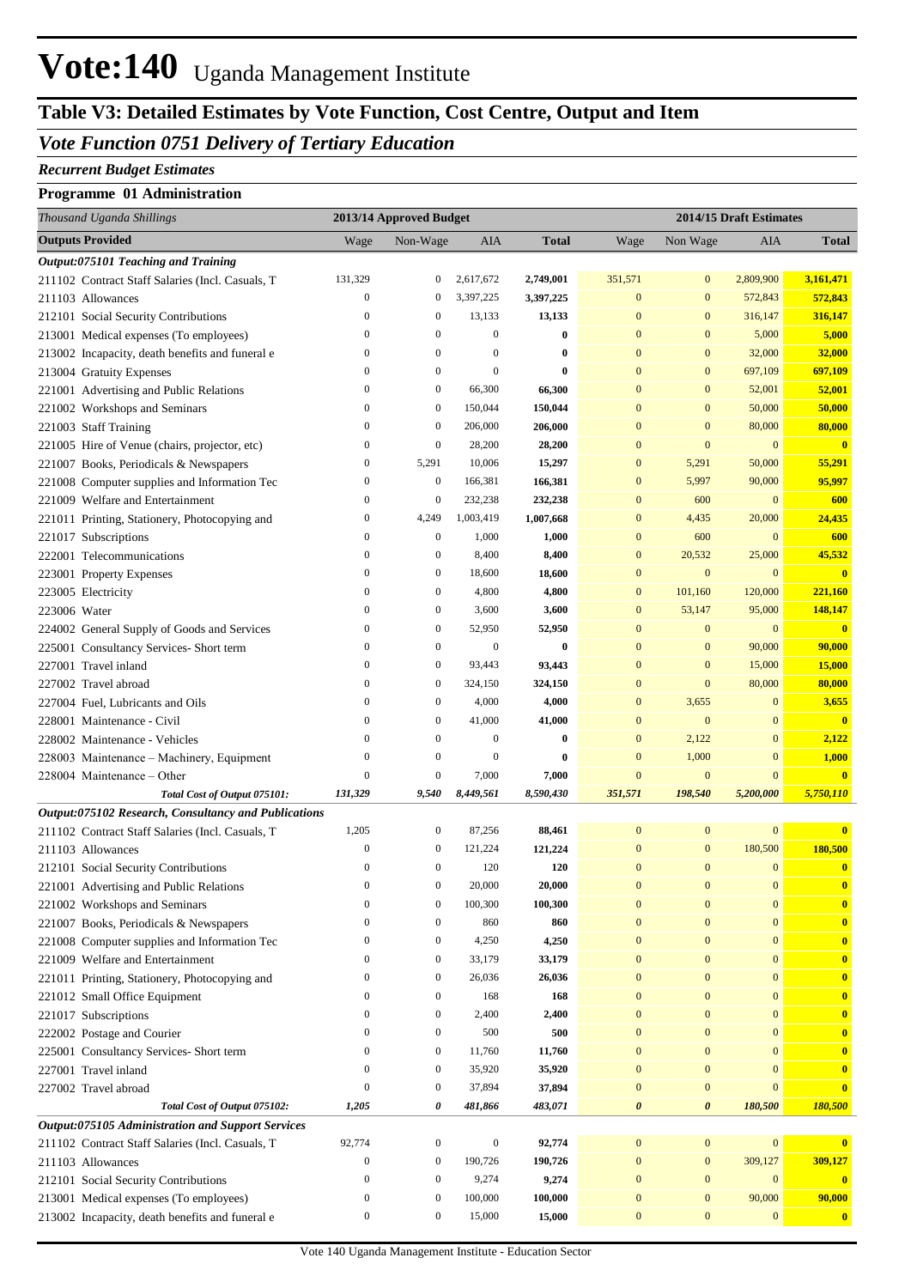## Vote:140 Uganda Management Institute

## **Table V3: Detailed Estimates by Vote Function, Cost Centre, Output and Item**

### *Vote Function 0751 Delivery of Tertiary Education*

### *Recurrent Budget Estimates*

### **Programme 01 Administration**

| Thousand Uganda Shillings                                               |                                  | 2013/14 Approved Budget  |                  |               |                  |                          | 2014/15 Draft Estimates |                         |
|-------------------------------------------------------------------------|----------------------------------|--------------------------|------------------|---------------|------------------|--------------------------|-------------------------|-------------------------|
| <b>Outputs Provided</b>                                                 | Wage                             | Non-Wage                 | AIA              | <b>Total</b>  | Wage             | Non Wage                 | AIA                     | <b>Total</b>            |
| Output:075101 Teaching and Training                                     |                                  |                          |                  |               |                  |                          |                         |                         |
| 211102 Contract Staff Salaries (Incl. Casuals, T                        | 131,329                          | $\mathbf{0}$             | 2,617,672        | 2,749,001     | 351,571          | $\mathbf{0}$             | 2,809,900               | 3,161,471               |
| 211103 Allowances                                                       | $\boldsymbol{0}$                 | $\mathbf{0}$             | 3,397,225        | 3,397,225     | $\boldsymbol{0}$ | $\mathbf{0}$             | 572,843                 | 572,843                 |
| 212101 Social Security Contributions                                    | $\boldsymbol{0}$                 | $\mathbf{0}$             | 13,133           | 13,133        | $\bf{0}$         | $\mathbf{0}$             | 316,147                 | 316,147                 |
| 213001 Medical expenses (To employees)                                  | $\boldsymbol{0}$                 | $\mathbf{0}$             | $\boldsymbol{0}$ | $\bf{0}$      | $\bf{0}$         | $\mathbf{0}$             | 5,000                   | 5,000                   |
| 213002 Incapacity, death benefits and funeral e                         | $\boldsymbol{0}$                 | $\mathbf{0}$             | $\boldsymbol{0}$ | $\bf{0}$      | $\bf{0}$         | $\mathbf{0}$             | 32,000                  | 32,000                  |
| 213004 Gratuity Expenses                                                | $\mathbf{0}$                     | $\mathbf{0}$             | $\boldsymbol{0}$ | $\bf{0}$      | $\bf{0}$         | $\mathbf{0}$             | 697,109                 | 697,109                 |
| 221001 Advertising and Public Relations                                 | $\boldsymbol{0}$                 | $\mathbf{0}$             | 66,300           | 66,300        | $\bf{0}$         | $\boldsymbol{0}$         | 52,001                  | 52,001                  |
| 221002 Workshops and Seminars                                           | $\boldsymbol{0}$                 | $\mathbf{0}$             | 150,044          | 150,044       | $\bf{0}$         | $\boldsymbol{0}$         | 50,000                  | 50,000                  |
| 221003 Staff Training                                                   | $\boldsymbol{0}$                 | $\mathbf{0}$             | 206,000          | 206,000       | $\bf{0}$         | $\mathbf{0}$             | 80,000                  | 80,000                  |
| 221005 Hire of Venue (chairs, projector, etc)                           | $\boldsymbol{0}$                 | $\mathbf{0}$             | 28,200           | 28,200        | $\bf{0}$         | $\mathbf{0}$             | $\mathbf{0}$            | $\mathbf{0}$            |
| 221007 Books, Periodicals & Newspapers                                  | $\boldsymbol{0}$                 | 5,291                    | 10,006           | 15,297        | $\mathbf{0}$     | 5,291                    | 50,000                  | 55,291                  |
| 221008 Computer supplies and Information Tec                            | $\boldsymbol{0}$                 | $\boldsymbol{0}$         | 166,381          | 166,381       | $\bf{0}$         | 5,997                    | 90,000                  | 95,997                  |
| 221009 Welfare and Entertainment                                        | $\boldsymbol{0}$                 | $\mathbf{0}$             | 232,238          | 232,238       | $\bf{0}$         | 600                      | $\mathbf{0}$            | 600                     |
| 221011 Printing, Stationery, Photocopying and                           | $\boldsymbol{0}$                 | 4,249                    | 1,003,419        | 1,007,668     | $\bf{0}$         | 4,435                    | 20,000                  | 24,435                  |
| 221017 Subscriptions                                                    | $\boldsymbol{0}$                 | $\mathbf{0}$             | 1,000            | 1,000         | $\mathbf{0}$     | 600                      | $\mathbf{0}$            | 600                     |
| 222001 Telecommunications                                               | $\boldsymbol{0}$                 | $\mathbf{0}$             | 8,400            | 8,400         | $\boldsymbol{0}$ | 20,532                   | 25,000                  | 45,532                  |
| 223001 Property Expenses                                                | $\boldsymbol{0}$                 | $\boldsymbol{0}$         | 18,600           | 18,600        | $\bf{0}$         | $\boldsymbol{0}$         | $\mathbf{0}$            | $\overline{\mathbf{0}}$ |
| 223005 Electricity                                                      | $\overline{0}$                   | $\mathbf{0}$             | 4,800            | 4,800         | $\mathbf{0}$     | 101,160                  | 120,000                 | 221,160                 |
| 223006 Water                                                            | $\overline{0}$                   | $\boldsymbol{0}$         | 3,600            | 3,600         | $\mathbf{0}$     | 53,147                   | 95,000                  | 148,147                 |
| 224002 General Supply of Goods and Services                             | $\boldsymbol{0}$                 | $\boldsymbol{0}$         | 52,950           | 52,950        | $\bf{0}$         | $\boldsymbol{0}$         | $\mathbf{0}$            | $\overline{\mathbf{0}}$ |
| 225001 Consultancy Services- Short term                                 | $\mathbf{0}$                     | $\boldsymbol{0}$         | $\boldsymbol{0}$ | $\bf{0}$      | $\bf{0}$         | $\boldsymbol{0}$         | 90,000                  | 90,000                  |
| 227001 Travel inland                                                    | $\mathbf{0}$                     | $\mathbf{0}$             | 93,443           | 93,443        | $\bf{0}$         | $\mathbf{0}$             | 15,000                  | 15,000                  |
| 227002 Travel abroad                                                    | $\mathbf{0}$                     | $\mathbf{0}$             | 324,150          | 324,150       | $\bf{0}$         | $\mathbf{0}$             | 80,000                  | 80,000                  |
| 227004 Fuel, Lubricants and Oils                                        | $\boldsymbol{0}$                 | $\mathbf{0}$             | 4,000            | 4,000         | $\mathbf{0}$     | 3,655                    | $\bf{0}$                | 3,655                   |
| 228001 Maintenance - Civil                                              | $\mathbf{0}$                     | $\boldsymbol{0}$         | 41,000           | 41,000        | $\bf{0}$         | $\mathbf{0}$             | $\overline{0}$          | $\mathbf{0}$            |
| 228002 Maintenance - Vehicles                                           | $\boldsymbol{0}$                 | $\mathbf{0}$             | $\boldsymbol{0}$ | $\bf{0}$      | $\mathbf{0}$     | 2,122                    | $\bf{0}$                | 2,122                   |
| 228003 Maintenance - Machinery, Equipment                               | $\mathbf{0}$                     | $\mathbf{0}$             | $\boldsymbol{0}$ | $\bf{0}$      | $\mathbf{0}$     | 1,000                    | $\mathbf{0}$            | 1,000                   |
| 228004 Maintenance – Other                                              | $\mathbf{0}$                     | $\mathbf{0}$             | 7,000            | 7,000         | $\bf{0}$         | $\boldsymbol{0}$         | $\mathbf{0}$            | $\overline{\mathbf{0}}$ |
| Total Cost of Output 075101:                                            | 131,329                          | 9,540                    | 8,449,561        | 8,590,430     | 351,571          | 198,540                  | 5,200,000               | 5,750,110               |
| Output:075102 Research, Consultancy and Publications                    |                                  |                          |                  |               |                  |                          | $\mathbf{0}$            |                         |
| 211102 Contract Staff Salaries (Incl. Casuals, T                        | 1,205                            | $\boldsymbol{0}$         | 87,256           | 88,461        | $\boldsymbol{0}$ | $\boldsymbol{0}$         |                         | $\mathbf{0}$            |
| 211103 Allowances                                                       | $\mathbf{0}$<br>$\boldsymbol{0}$ | $\bf{0}$<br>$\mathbf{0}$ | 121,224          | 121,224       | 0<br>0           | $\bf{0}$<br>$\mathbf{0}$ | 180,500<br>$\mathbf{0}$ | 180,500                 |
| 212101 Social Security Contributions                                    | $\overline{0}$                   | $\mathbf{0}$             | 120<br>20,000    | 120<br>20,000 | $\overline{0}$   | $\overline{0}$           | $\overline{0}$          | $\bf{0}$<br>$\bf{0}$    |
| 221001 Advertising and Public Relations                                 | $\mathbf{0}$                     | $\boldsymbol{0}$         | 100,300          | 100,300       | $\bf{0}$         | $\mathbf{0}$             | $\boldsymbol{0}$        | $\bf{0}$                |
| 221002 Workshops and Seminars<br>221007 Books, Periodicals & Newspapers | $\mathbf{0}$                     | $\mathbf{0}$             | 860              | 860           | $\bf{0}$         | $\boldsymbol{0}$         | 0                       | $\bf{0}$                |
| 221008 Computer supplies and Information Tec                            | $\boldsymbol{0}$                 | $\bf{0}$                 | 4,250            | 4,250         | $\bf{0}$         | $\mathbf{0}$             | $\bf{0}$                | $\bf{0}$                |
| 221009 Welfare and Entertainment                                        | $\boldsymbol{0}$                 | $\bf{0}$                 | 33,179           | 33,179        | $\bf{0}$         | $\mathbf{0}$             | $\bf{0}$                | $\bf{0}$                |
| 221011 Printing, Stationery, Photocopying and                           | $\boldsymbol{0}$                 | $\mathbf{0}$             | 26,036           | 26,036        | $\bf{0}$         | $\boldsymbol{0}$         | $\overline{0}$          | $\bf{0}$                |
| 221012 Small Office Equipment                                           | $\mathbf{0}$                     | $\boldsymbol{0}$         | 168              | 168           | $\bf{0}$         | $\mathbf{0}$             | $\overline{0}$          | $\mathbf{0}$            |
| 221017 Subscriptions                                                    | $\boldsymbol{0}$                 | $\mathbf{0}$             | 2,400            | 2,400         | $\bf{0}$         | $\mathbf{0}$             | 0                       | $\mathbf{0}$            |
| 222002 Postage and Courier                                              | $\mathbf{0}$                     | $\boldsymbol{0}$         | 500              | 500           | $\bf{0}$         | $\mathbf{0}$             | $\bf{0}$                | $\bf{0}$                |
| 225001 Consultancy Services- Short term                                 | $\mathbf{0}$                     | $\boldsymbol{0}$         | 11,760           | 11,760        | $\bf{0}$         | $\mathbf{0}$             | $\overline{0}$          | $\mathbf{0}$            |
| 227001 Travel inland                                                    | $\boldsymbol{0}$                 | $\boldsymbol{0}$         | 35,920           | 35,920        | $\bf{0}$         | $\mathbf{0}$             | 0                       | $\mathbf{0}$            |
| 227002 Travel abroad                                                    | $\mathbf{0}$                     | $\boldsymbol{0}$         | 37,894           | 37,894        | $\bf{0}$         | $\boldsymbol{0}$         | $\bf{0}$                | $\mathbf{0}$            |
| Total Cost of Output 075102:                                            | 1,205                            | 0                        | 481,866          | 483,071       | 0                | $\boldsymbol{\theta}$    | 180,500                 | 180,500                 |
| Output:075105 Administration and Support Services                       |                                  |                          |                  |               |                  |                          |                         |                         |
| 211102 Contract Staff Salaries (Incl. Casuals, T                        | 92,774                           | $\boldsymbol{0}$         | $\boldsymbol{0}$ | 92,774        | $\boldsymbol{0}$ | $\boldsymbol{0}$         | $\bf{0}$                | $\mathbf{0}$            |
| 211103 Allowances                                                       | $\boldsymbol{0}$                 | $\bf{0}$                 | 190,726          | 190,726       | $\boldsymbol{0}$ | $\boldsymbol{0}$         | 309,127                 | 309,127                 |
| 212101 Social Security Contributions                                    | $\mathbf{0}$                     | $\boldsymbol{0}$         | 9,274            | 9,274         | $\bf{0}$         | $\mathbf{0}$             | $\mathbf{0}$            | $\mathbf{0}$            |
| 213001 Medical expenses (To employees)                                  | $\bf{0}$                         | $\boldsymbol{0}$         | 100,000          | 100,000       | $\boldsymbol{0}$ | $\boldsymbol{0}$         | 90,000                  | 90,000                  |
| 213002 Incapacity, death benefits and funeral e                         | $\boldsymbol{0}$                 | $\boldsymbol{0}$         | 15,000           | 15,000        | $\boldsymbol{0}$ | $\boldsymbol{0}$         | $\boldsymbol{0}$        | $\bf{0}$                |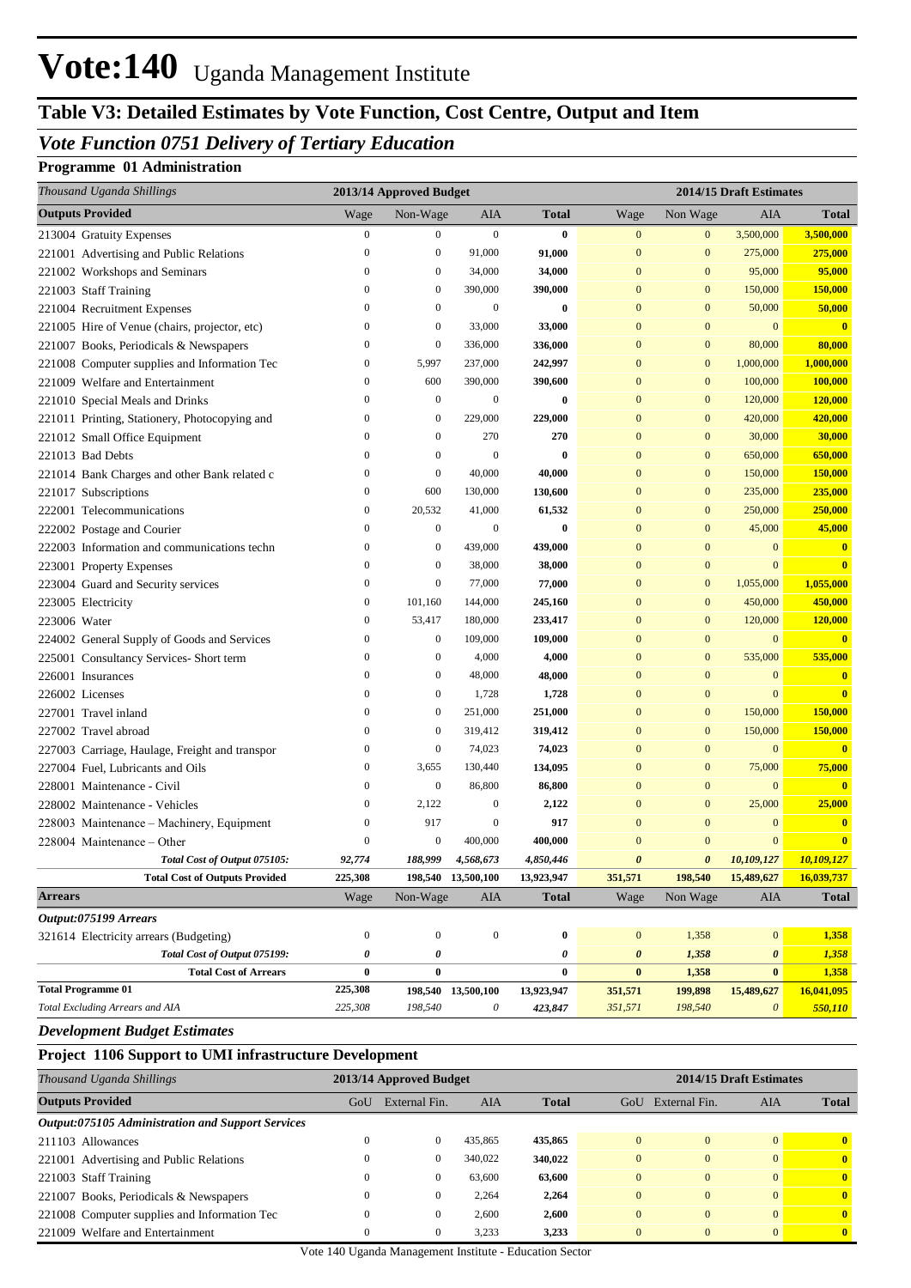## **Vote:140** Uganda Management Institute

### **Table V3: Detailed Estimates by Vote Function, Cost Centre, Output and Item**

### *Vote Function 0751 Delivery of Tertiary Education*

### **Programme 01 Administration**

| Thousand Uganda Shillings                      |                  | 2013/14 Approved Budget |                    |              | 2014/15 Draft Estimates |                  |                       |                         |
|------------------------------------------------|------------------|-------------------------|--------------------|--------------|-------------------------|------------------|-----------------------|-------------------------|
| <b>Outputs Provided</b>                        | Wage             | Non-Wage                | AIA                | <b>Total</b> | Wage                    | Non Wage         | AIA                   | <b>Total</b>            |
| 213004 Gratuity Expenses                       | $\boldsymbol{0}$ | $\boldsymbol{0}$        | $\boldsymbol{0}$   | 0            | $\mathbf{0}$            | $\mathbf{0}$     | 3,500,000             | 3,500,000               |
| 221001 Advertising and Public Relations        | $\theta$         | $\boldsymbol{0}$        | 91,000             | 91,000       | $\mathbf{0}$            | $\boldsymbol{0}$ | 275,000               | 275,000                 |
| 221002 Workshops and Seminars                  | 0                | $\boldsymbol{0}$        | 34,000             | 34,000       | $\mathbf{0}$            | $\boldsymbol{0}$ | 95,000                | 95,000                  |
| 221003 Staff Training                          | 0                | $\mathbf{0}$            | 390,000            | 390,000      | $\mathbf{0}$            | $\boldsymbol{0}$ | 150,000               | 150,000                 |
| 221004 Recruitment Expenses                    | 0                | $\boldsymbol{0}$        | 0                  | $\bf{0}$     | $\mathbf{0}$            | $\boldsymbol{0}$ | 50,000                | 50,000                  |
| 221005 Hire of Venue (chairs, projector, etc)  | $\boldsymbol{0}$ | $\boldsymbol{0}$        | 33,000             | 33,000       | $\mathbf{0}$            | $\boldsymbol{0}$ | $\mathbf{0}$          | $\bf{0}$                |
| 221007 Books, Periodicals & Newspapers         | $\boldsymbol{0}$ | $\mathbf{0}$            | 336,000            | 336,000      | $\mathbf{0}$            | $\boldsymbol{0}$ | 80,000                | 80,000                  |
| 221008 Computer supplies and Information Tec   | $\boldsymbol{0}$ | 5,997                   | 237,000            | 242,997      | $\mathbf{0}$            | $\boldsymbol{0}$ | 1,000,000             | 1,000,000               |
| 221009 Welfare and Entertainment               | $\boldsymbol{0}$ | 600                     | 390,000            | 390,600      | $\mathbf{0}$            | $\boldsymbol{0}$ | 100,000               | 100,000                 |
| 221010 Special Meals and Drinks                | $\boldsymbol{0}$ | $\boldsymbol{0}$        | 0                  | 0            | $\mathbf{0}$            | $\boldsymbol{0}$ | 120,000               | 120,000                 |
| 221011 Printing, Stationery, Photocopying and  | $\boldsymbol{0}$ | $\boldsymbol{0}$        | 229,000            | 229,000      | $\mathbf{0}$            | $\boldsymbol{0}$ | 420,000               | 420,000                 |
| 221012 Small Office Equipment                  | $\boldsymbol{0}$ | $\boldsymbol{0}$        | 270                | 270          | $\mathbf{0}$            | $\boldsymbol{0}$ | 30,000                | 30,000                  |
| 221013 Bad Debts                               | $\boldsymbol{0}$ | $\boldsymbol{0}$        | 0                  | 0            | $\mathbf{0}$            | $\boldsymbol{0}$ | 650,000               | 650,000                 |
| 221014 Bank Charges and other Bank related c   | 0                | $\mathbf{0}$            | 40,000             | 40,000       | $\mathbf{0}$            | $\boldsymbol{0}$ | 150,000               | 150,000                 |
| 221017 Subscriptions                           | $\boldsymbol{0}$ | 600                     | 130,000            | 130,600      | $\mathbf{0}$            | $\boldsymbol{0}$ | 235,000               | 235,000                 |
| 222001 Telecommunications                      | $\boldsymbol{0}$ | 20,532                  | 41,000             | 61,532       | $\bf{0}$                | $\boldsymbol{0}$ | 250,000               | 250,000                 |
| 222002 Postage and Courier                     | $\boldsymbol{0}$ | $\boldsymbol{0}$        | 0                  | 0            | $\overline{0}$          | $\boldsymbol{0}$ | 45,000                | 45,000                  |
| 222003 Information and communications techn    | $\boldsymbol{0}$ | $\boldsymbol{0}$        | 439,000            | 439,000      | $\mathbf{0}$            | $\bf{0}$         | $\mathbf{0}$          | $\mathbf{0}$            |
| 223001 Property Expenses                       | $\boldsymbol{0}$ | $\boldsymbol{0}$        | 38,000             | 38,000       | $\mathbf{0}$            | $\boldsymbol{0}$ | $\mathbf{0}$          | $\overline{\mathbf{0}}$ |
| 223004 Guard and Security services             | $\boldsymbol{0}$ | $\boldsymbol{0}$        | 77,000             | 77,000       | $\mathbf{0}$            | $\boldsymbol{0}$ | 1,055,000             | 1,055,000               |
| 223005 Electricity                             | $\boldsymbol{0}$ | 101,160                 | 144,000            | 245,160      | $\mathbf{0}$            | $\mathbf{0}$     | 450,000               | 450,000                 |
| 223006 Water                                   | $\boldsymbol{0}$ | 53,417                  | 180,000            | 233,417      | $\mathbf{0}$            | $\mathbf{0}$     | 120,000               | 120,000                 |
| 224002 General Supply of Goods and Services    | $\boldsymbol{0}$ | $\boldsymbol{0}$        | 109,000            | 109,000      | $\mathbf{0}$            | $\boldsymbol{0}$ | $\overline{0}$        | $\overline{\mathbf{0}}$ |
| 225001 Consultancy Services- Short term        | $\boldsymbol{0}$ | $\boldsymbol{0}$        | 4,000              | 4,000        | $\mathbf{0}$            | $\mathbf{0}$     | 535,000               | 535,000                 |
| 226001 Insurances                              | $\boldsymbol{0}$ | $\boldsymbol{0}$        | 48,000             | 48,000       | $\mathbf{0}$            | $\bf{0}$         | $\mathbf{0}$          | $\bf{0}$                |
| 226002 Licenses                                | $\boldsymbol{0}$ | $\boldsymbol{0}$        | 1,728              | 1,728        | $\boldsymbol{0}$        | $\mathbf{0}$     | $\overline{0}$        | $\overline{\mathbf{0}}$ |
| 227001 Travel inland                           | $\boldsymbol{0}$ | $\boldsymbol{0}$        | 251,000            | 251,000      | $\bf{0}$                | $\mathbf{0}$     | 150,000               | 150,000                 |
| 227002 Travel abroad                           | $\boldsymbol{0}$ | $\boldsymbol{0}$        | 319,412            | 319,412      | $\bf{0}$                | $\mathbf{0}$     | 150,000               | 150,000                 |
| 227003 Carriage, Haulage, Freight and transpor | $\boldsymbol{0}$ | $\boldsymbol{0}$        | 74,023             | 74,023       | $\bf{0}$                | $\mathbf{0}$     | $\mathbf{0}$          | $\overline{\mathbf{0}}$ |
| 227004 Fuel, Lubricants and Oils               | $\boldsymbol{0}$ | 3,655                   | 130,440            | 134,095      | $\mathbf{0}$            | $\mathbf{0}$     | 75,000                | 75,000                  |
| 228001 Maintenance - Civil                     | $\boldsymbol{0}$ | $\mathbf{0}$            | 86,800             | 86,800       | $\mathbf{0}$            | $\mathbf{0}$     | $\mathbf{0}$          | $\overline{\mathbf{0}}$ |
| 228002 Maintenance - Vehicles                  | $\boldsymbol{0}$ | 2,122                   | 0                  | 2,122        | $\mathbf{0}$            | $\mathbf{0}$     | 25,000                | 25,000                  |
| 228003 Maintenance - Machinery, Equipment      | 0                | 917                     | 0                  | 917          | $\mathbf{0}$            | $\overline{0}$   | $\Omega$              | $\bf{0}$                |
| 228004 Maintenance - Other                     | $\overline{0}$   | $\mathbf{0}$            | 400,000            | 400,000      | $\mathbf{0}$            | $\mathbf{0}$     | $\mathbf{0}$          | $\bf{0}$                |
| Total Cost of Output 075105:                   | 92,774           | 188,999                 | 4,568,673          | 4,850,446    | $\boldsymbol{\theta}$   | 0                | 10,109,127            | 10,109,127              |
| <b>Total Cost of Outputs Provided</b>          | 225,308          |                         | 198,540 13,500,100 | 13,923,947   | 351,571                 | 198,540          | 15,489,627            | 16,039,737              |
| <b>Arrears</b>                                 | Wage             | Non-Wage                | AIA                | <b>Total</b> | Wage                    | Non Wage         | AIA                   | <b>Total</b>            |
| Output:075199 Arrears                          |                  |                         |                    |              |                         |                  |                       |                         |
| 321614 Electricity arrears (Budgeting)         | $\boldsymbol{0}$ | $\boldsymbol{0}$        | $\boldsymbol{0}$   | $\bf{0}$     | $\boldsymbol{0}$        | 1,358            | $\boldsymbol{0}$      | 1,358                   |
| Total Cost of Output 075199:                   | 0                | 0                       |                    | 0            | 0                       | 1,358            | $\boldsymbol{\theta}$ | 1,358                   |
| <b>Total Cost of Arrears</b>                   | 0                | $\bf{0}$                |                    | $\bf{0}$     | $\bf{0}$                | 1,358            | $\bf{0}$              | 1,358                   |
| <b>Total Programme 01</b>                      | 225,308          |                         | 198,540 13,500,100 | 13,923,947   | 351,571                 | 199,898          | 15,489,627            | 16,041,095              |
| Total Excluding Arrears and AIA                | 225,308          | 198,540                 | $\theta$           | 423,847      | 351,571                 | 198,540          | $\boldsymbol{\theta}$ | 550,110                 |

#### *Development Budget Estimates*

#### **Project 1106 Support to UMI infrastructure Development**

| Thousand Uganda Shillings                                | 2013/14 Approved Budget |               |            |              | 2014/15 Draft Estimates |                |          |                         |
|----------------------------------------------------------|-------------------------|---------------|------------|--------------|-------------------------|----------------|----------|-------------------------|
| <b>Outputs Provided</b>                                  | GoU                     | External Fin. | <b>AIA</b> | <b>Total</b> | GoU                     | External Fin.  | AIA      | <b>Total</b>            |
| <b>Output:075105 Administration and Support Services</b> |                         |               |            |              |                         |                |          |                         |
| 211103 Allowances                                        |                         | $\theta$      | 435,865    | 435,865      | $\Omega$                | $\Omega$       | $\Omega$ | $\mathbf{0}$            |
| 221001 Advertising and Public Relations                  |                         | $\left($      | 340,022    | 340,022      |                         | $\Omega$       | $\Omega$ | $\mathbf{0}$            |
| 221003 Staff Training                                    |                         | 0             | 63,600     | 63,600       | $\Omega$                | $\Omega$       | $\Omega$ | $\overline{\mathbf{0}}$ |
| 221007 Books, Periodicals & Newspapers                   |                         | 0             | 2,264      | 2,264        | $\Omega$                | $\Omega$       | $\Omega$ | $\mathbf{0}$            |
| 221008 Computer supplies and Information Tec             |                         | 0             | 2,600      | 2.600        | $\Omega$                | $\overline{0}$ | $\Omega$ | $\mathbf{0}$            |
| 221009 Welfare and Entertainment                         |                         | $\mathbf{0}$  | 3.233      | 3.233        | $\Omega$                | $\Omega$       | $\Omega$ | $\mathbf{0}$            |